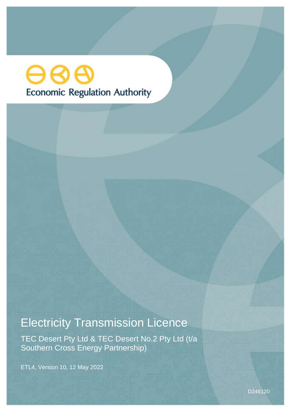# ဓဓဓ **Economic Regulation Authority**

# Electricity Transmission Licence

TEC Desert Pty Ltd & TEC Desert No.2 Pty Ltd (t/a Southern Cross Energy Partnership)

ETL4, Version 10, 12 May 2022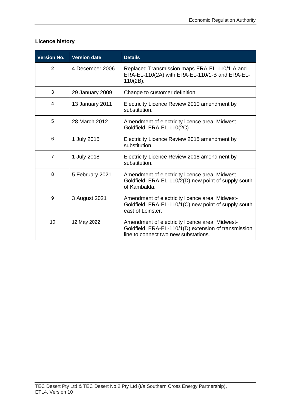# **Licence history**

| <b>Version No.</b> | <b>Version date</b> | <b>Details</b>                                                                                                                                  |
|--------------------|---------------------|-------------------------------------------------------------------------------------------------------------------------------------------------|
| $\overline{2}$     | 4 December 2006     | Replaced Transmission maps ERA-EL-110/1-A and<br>ERA-EL-110(2A) with ERA-EL-110/1-B and ERA-EL-<br>$110(2B)$ .                                  |
| 3                  | 29 January 2009     | Change to customer definition.                                                                                                                  |
| 4                  | 13 January 2011     | Electricity Licence Review 2010 amendment by<br>substitution.                                                                                   |
| 5                  | 28 March 2012       | Amendment of electricity licence area: Midwest-<br>Goldfield, ERA-EL-110(2C)                                                                    |
| 6                  | 1 July 2015         | Electricity Licence Review 2015 amendment by<br>substitution.                                                                                   |
| $\overline{7}$     | 1 July 2018         | Electricity Licence Review 2018 amendment by<br>substitution.                                                                                   |
| 8                  | 5 February 2021     | Amendment of electricity licence area: Midwest-<br>Goldfield, ERA-EL-110/2(D) new point of supply south<br>of Kambalda.                         |
| 9                  | 3 August 2021       | Amendment of electricity licence area: Midwest-<br>Goldfield, ERA-EL-110/1(C) new point of supply south<br>east of Leinster.                    |
| 10                 | 12 May 2022         | Amendment of electricity licence area: Midwest-<br>Goldfield, ERA-EL-110/1(D) extension of transmission<br>line to connect two new substations. |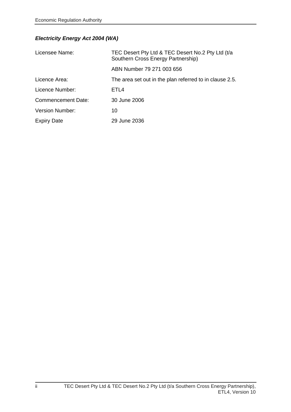## *Electricity Energy Act 2004 (WA)*

| Licensee Name:            | TEC Desert Pty Ltd & TEC Desert No.2 Pty Ltd (t/a<br>Southern Cross Energy Partnership) |
|---------------------------|-----------------------------------------------------------------------------------------|
|                           | ABN Number 79 271 003 656                                                               |
| Licence Area:             | The area set out in the plan referred to in clause 2.5.                                 |
| Licence Number:           | ETL4                                                                                    |
| <b>Commencement Date:</b> | 30 June 2006                                                                            |
| <b>Version Number:</b>    | 10                                                                                      |
| <b>Expiry Date</b>        | 29 June 2036                                                                            |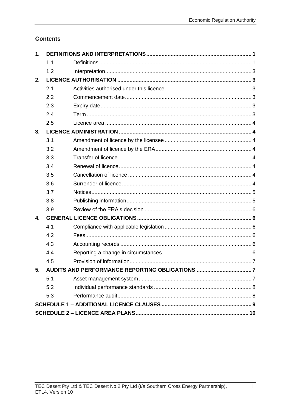# **Contents**

| 1. |     |  |  |  |  |
|----|-----|--|--|--|--|
|    | 1.1 |  |  |  |  |
|    | 1.2 |  |  |  |  |
| 2. |     |  |  |  |  |
|    | 2.1 |  |  |  |  |
|    | 2.2 |  |  |  |  |
|    | 2.3 |  |  |  |  |
|    | 2.4 |  |  |  |  |
|    | 2.5 |  |  |  |  |
| 3. |     |  |  |  |  |
|    | 3.1 |  |  |  |  |
|    | 3.2 |  |  |  |  |
|    | 3.3 |  |  |  |  |
|    | 3.4 |  |  |  |  |
|    | 3.5 |  |  |  |  |
|    | 3.6 |  |  |  |  |
|    | 3.7 |  |  |  |  |
|    | 3.8 |  |  |  |  |
|    | 3.9 |  |  |  |  |
| 4. |     |  |  |  |  |
|    | 4.1 |  |  |  |  |
|    | 4.2 |  |  |  |  |
|    | 4.3 |  |  |  |  |
|    | 4.4 |  |  |  |  |
|    | 4.5 |  |  |  |  |
| 5. |     |  |  |  |  |
|    | 5.1 |  |  |  |  |
|    | 5.2 |  |  |  |  |
|    | 5.3 |  |  |  |  |
|    |     |  |  |  |  |
|    |     |  |  |  |  |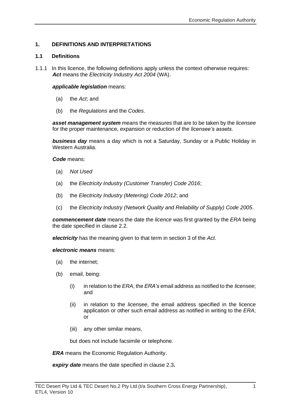### <span id="page-6-0"></span>**1. DEFINITIONS AND INTERPRETATIONS**

#### <span id="page-6-1"></span>**1.1 Definitions**

1.1.1 In this licence, the following definitions apply unless the context otherwise requires: *Act* means the *Electricity Industry Act 2004* (WA).

#### *applicable legislation* means:

- (a) the *Act*; and
- (b) the *Regulations* and the *Codes*.

*asset management system* means the measures that are to be taken by the *licensee* for the proper maintenance, expansion or reduction of the *licensee's assets*.

*business day* means a day which is not a Saturday, Sunday or a Public Holiday in Western Australia.

#### *Code* means:

- (a) *Not Used*
- (a) the *Electricity Industry (Customer Transfer) Code 2016*;
- (b) the *Electricity Industry (Metering) Code 2012*; and
- (c) the *Electricity Industry (Network Quality and Reliability of Supply) Code 2005*.

*commencement date* means the date the *licence* was first granted by the *ERA* being the date specified in clause 2.2.

*electricity* has the meaning given to that term in section 3 of the *Act*.

#### *electronic means* means:

- (a) the internet;
- (b) email, being:
	- (i) in relation to the *ERA*, the *ERA's* email address as notified to the *licensee*; and
	- (ii) in relation to the *licensee*, the email address specified in the licence application or other such email address as notified in writing to the *ERA*; or
	- (iii) any other similar means,

but does not include facsimile or telephone.

*ERA* means the Economic Regulation Authority.

*expiry date* means the date specified in clause 2.3*.*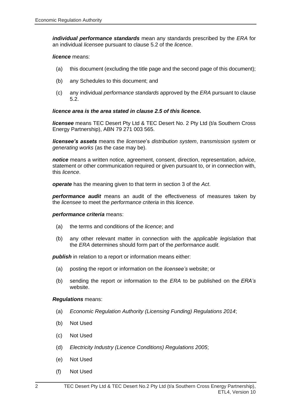*individual performance standards* mean any standards prescribed by the *ERA* for an individual *licensee* pursuant to clause 5.2 of the *licence*.

#### *licence* means:

- (a) this document (excluding the title page and the second page of this document);
- (b) any Schedules to this document; and
- (c) any individual *performance standards* approved by the *ERA* pursuant to clause 5.2.

#### *licence area is the area stated in clause 2.5 of this licence.*

*licensee* means TEC Desert Pty Ltd & TEC Desert No. 2 Pty Ltd (t/a Southern Cross Energy Partnership), ABN 79 271 003 565.

*licensee's assets* means the *licensee*'s *distribution system*, *transmission system* or *generating works* (as the case may be).

*notice* means a written notice, agreement, consent, direction, representation, advice, statement or other communication required or given pursuant to, or in connection with, this *licence*.

*operate* has the meaning given to that term in section 3 of the *Act*.

*performance audit* means an audit of the effectiveness of measures taken by the *licensee* to meet the *performance criteria* in this *licence*.

#### *performance criteria* means:

- (a) the terms and conditions of the *licence*; and
- (b) any other relevant matter in connection with the *applicable legislation* that the *ERA* determines should form part of the *performance audit*.

**publish** in relation to a report or information means either:

- (a) posting the report or information on the *licensee's* website; or
- (b) sending the report or information to the *ERA* to be published on the *ERA's* website.

#### *Regulations* means:

- (a) *Economic Regulation Authority (Licensing Funding) Regulations 2014*;
- (b) Not Used
- (c) Not Used
- (d) *Electricity Industry (Licence Conditions) Regulations 2005*;
- (e) Not Used
- (f) Not Used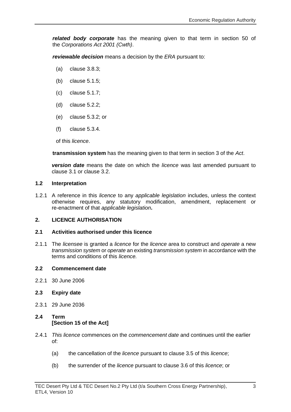*related body corporate* has the meaning given to that term in section 50 of the *Corporations Act 2001 (Cwth)*.

*reviewable decision* means a decision by the *ERA* pursuant to:

- (a) clause 3.8.3;
- (b) clause 5.1.5;
- (c) clause 5.1.7;
- (d) clause 5.2.2;
- (e) clause 5.3.2; or
- (f) clause 5.3.4.

of this *licence*.

**transmission system** has the meaning given to that term in section 3 of the *Act*.

*version date* means the date on which the *licence* was last amended pursuant to clause 3.1 or clause 3.2.

#### <span id="page-8-0"></span>**1.2 Interpretation**

1.2.1 A reference in this *licence* to any *applicable legislation* includes, unless the context otherwise requires, any statutory modification, amendment, replacement or re-enactment of that *applicable legislation***.**

#### <span id="page-8-1"></span>**2. LICENCE AUTHORISATION**

#### <span id="page-8-2"></span>**2.1 Activities authorised under this licence**

2.1.1 The *licensee* is granted a *licence* for the *licence* area to construct and *operate* a new *transmission system* or *operate* an existing *transmission system* in accordance with the terms and conditions of this *licence.*

#### <span id="page-8-3"></span>**2.2 Commencement date**

- 2.2.1 30 June 2006
- <span id="page-8-4"></span>**2.3 Expiry date**
- 2.3.1 29 June 2036

### <span id="page-8-5"></span>**2.4 Term [Section 15 of the Act]**

- 2.4.1 *This licence* commences on the *commencement date* and continues until the earlier of:
	- (a) the cancellation of the *licence* pursuant to clause 3.5 of this *licence*;
	- (b) the surrender of the *licence* pursuant to clause 3.6 of this *licence*; or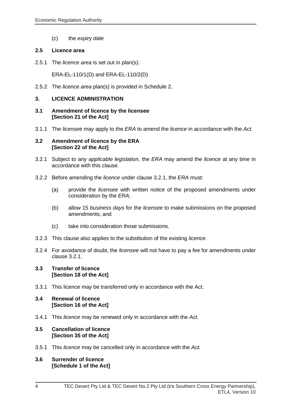(c) the *expiry date*

#### <span id="page-9-0"></span>**2.5 Licence area**

2.5.1 The *licence area* is set out in plan(s):

ERA-EL-110/1(D) and ERA-EL-110/2(D)

2.5.2 The *licence area* plan(s) is provided in Schedule 2.

#### <span id="page-9-1"></span>**3. LICENCE ADMINISTRATION**

#### <span id="page-9-2"></span>**3.1 Amendment of licence by the licensee [Section 21 of the Act]**

3.1.1 The *licensee* may apply to the *ERA* to amend the *licence* in accordance with the *Act.*

#### <span id="page-9-3"></span>**3.2 Amendment of licence by the ERA [Section 22 of the Act]**

- 3.2.1 Subject to any *applicable legislation*, the *ERA* may amend the *licence* at any time in accordance with this clause.
- 3.2.2 Before amending the *licence* under clause 3.2.1, the *ERA* must:
	- (a) provide the *licensee* with written *notice* of the proposed amendments under consideration by the *ERA*;
	- (b) allow 15 *business days* for the *licensee* to make submissions on the proposed amendments; and
	- (c) take into consideration those submissions.
- 3.2.3 This clause also applies to the substitution of the existing *licence.*
- 3.2.4 For avoidance of doubt, the *licensee* will not have to pay a fee for amendments under clause 3.2.1.

#### <span id="page-9-4"></span>**3.3 Transfer of licence [Section 18 of the Act]**

3.3.1 This licence may be transferred only in accordance with the Act.

#### <span id="page-9-5"></span>**3.4 Renewal of licence [Section 16 of the Act]**

3.4.1 This *licence* may be renewed only in accordance with the *Act.*

#### <span id="page-9-6"></span>**3.5 Cancellation of licence [Section 35 of the Act]**

- 3.5.1 This *licence* may be cancelled only in accordance with the *Act.*
- <span id="page-9-7"></span>**3.6 Surrender of licence [Schedule 1 of the Act]**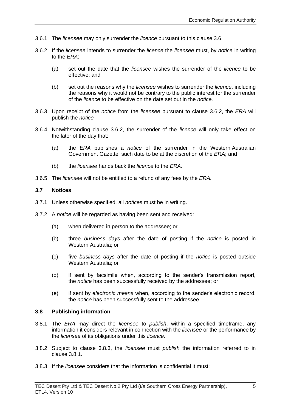- 3.6.1 The *licensee* may only surrender the *licence* pursuant to this clause 3.6.
- 3.6.2 If the *licensee* intends to surrender the *licence* the *licensee* must, by *notice* in writing to the *ERA*:
	- (a) set out the date that the *licensee* wishes the surrender of the *licence* to be effective; and
	- (b) set out the reasons why the *licensee* wishes to surrender the *licence*, including the reasons why it would not be contrary to the public interest for the surrender of the *licence* to be effective on the date set out in the *notice.*
- 3.6.3 Upon receipt of the *notice* from the *licensee* pursuant to clause 3.6.2, the *ERA* will publish the *notice.*
- 3.6.4 Notwithstanding clause 3.6.2, the surrender of the *licence* will only take effect on the later of the day that:
	- (a) the *ERA* publishes a *notice* of the surrender in the Western Australian Government Gazette, such date to be at the discretion of the *ERA*; and
	- (b) the *licensee* hands back the *licence* to the *ERA.*
- 3.6.5 The *licensee* will not be entitled to a refund of any fees by the *ERA.*

#### <span id="page-10-0"></span>**3.7 Notices**

- 3.7.1 Unless otherwise specified, all *notices* must be in writing.
- 3.7.2 A *notice* will be regarded as having been sent and received:
	- (a) when delivered in person to the addressee; or
	- (b) three *business days* after the date of posting if the *notice* is posted in Western Australia; or
	- (c) five *business days* after the date of posting if the *notice* is posted outside Western Australia; or
	- (d) if sent by facsimile when, according to the sender's transmission report, the *notice* has been successfully received by the addressee; or
	- (e) if sent by *electronic means* when, according to the sender's electronic record, the *notice* has been successfully sent to the addressee.

#### <span id="page-10-1"></span>**3.8 Publishing information**

- 3.8.1 The *ERA* may direct the *licensee* to *publish*, within a specified timeframe, any information it considers relevant in connection with the *licensee* or the performance by the *licensee* of its obligations under this *licence.*
- 3.8.2 Subject to clause 3.8.3, the *licensee* must *publish* the information referred to in clause 3.8.1.
- 3.8.3 If the *licensee* considers that the information is confidential it must: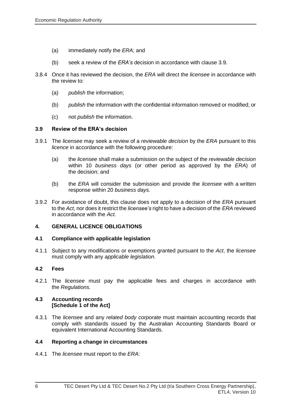- (a) immediately notify the *ERA*; and
- (b) seek a review of the *ERA's* decision in accordance with clause 3.9.
- 3.8.4 Once it has reviewed the decision, the *ERA* will direct the *licensee* in accordance with the review to:
	- (a) *publish* the information;
	- (b) *publish* the information with the confidential information removed or modified; or
	- (c) not *publish* the information.

#### <span id="page-11-0"></span>**3.9 Review of the ERA's decision**

- 3.9.1 The *licensee* may seek a review of a *reviewable decision* by the *ERA* pursuant to this *licence* in accordance with the following procedure:
	- (a) the *licensee* shall make a submission on the subject of the *reviewable decision* within 10 *business days* (or other period as approved by the *ERA*) of the decision; and
	- (b) the *ERA* will consider the submission and provide the *licensee* with a written response within 20 *business days.*
- 3.9.2 For avoidance of doubt, this clause does not apply to a decision of the *ERA* pursuant to the *Act*, nor does it restrict the *licensee's* right to have a decision of the *ERA* reviewed in accordance with the *Act.*

#### <span id="page-11-1"></span>**4. GENERAL LICENCE OBLIGATIONS**

#### <span id="page-11-2"></span>**4.1 Compliance with applicable legislation**

4.1.1 Subject to any modifications or exemptions granted pursuant to the *Act*, the *licensee* must comply with any *applicable legislation.*

#### <span id="page-11-3"></span>**4.2 Fees**

4.2.1 The *licensee* must pay the applicable fees and charges in accordance with the *Regulations.*

#### <span id="page-11-4"></span>**4.3 Accounting records [Schedule 1 of the Act]**

4.3.1 The *licensee* and any *related body corporate* must maintain accounting records that comply with standards issued by the Australian Accounting Standards Board or equivalent International Accounting Standards.

#### <span id="page-11-5"></span>**4.4 Reporting a change in circumstances**

4.4.1 The *licensee* must report to the *ERA*: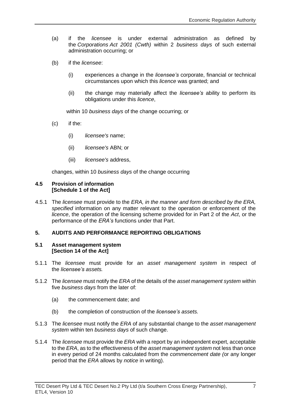- (a) if the *licensee* is under external administration as defined by the *Corporations Act 2001 (Cwth)* within 2 *business days* of such external administration occurring; or
- (b) if the *licensee*:
	- (i) experiences a change in the *licensee's* corporate, financial or technical circumstances upon which this *licence* was granted; and
	- (ii) the change may materially affect the *licensee's* ability to perform its obligations under this *licence*,

within 10 *business days* of the change occurring; or

- (c) if the:
	- (i) *licensee's* name;
	- (ii) *licensee's* ABN; or
	- (iii) *licensee's* address,

changes, within 10 *business days* of the change occurring

#### <span id="page-12-0"></span>**4.5 Provision of information [Schedule 1 of the Act]**

4.5.1 The *licensee* must provide to the *ERA, in the manner and form described by the ERA, specified* information on any matter relevant to the operation or enforcement of the *licence*, the operation of the licensing scheme provided for in Part 2 of the *Act*, or the performance of the *ERA's* functions under that Part.

#### <span id="page-12-1"></span>**5. AUDITS AND PERFORMANCE REPORTING OBLIGATIONS**

#### <span id="page-12-2"></span>**5.1 Asset management system [Section 14 of the Act]**

- 5.1.1 The *licensee* must provide for an *asset management system* in respect of the *licensee's assets.*
- 5.1.2 The *licensee* must notify the *ERA* of the details of the *asset management system* within five *business days* from the later of:
	- (a) the commencement date; and
	- (b) the completion of construction of the *licensee's assets.*
- 5.1.3 The *licensee* must notify the *ERA* of any substantial change to the *asset management system* within ten *business days* of such change.
- 5.1.4 The *licensee* must provide the *ERA* with a report by an independent expert, acceptable to the *ERA*, as to the effectiveness of the *asset management system* not less than once in every period of 24 months calculated from the *commencement date (*or any longer period that the *ERA* allows by *notice* in writing).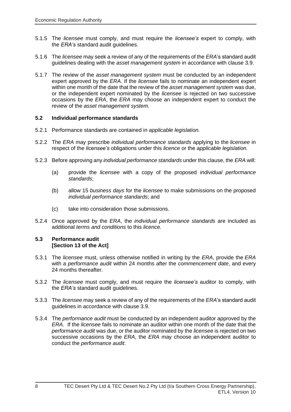- 5.1.5 The *licensee* must comply, and must require the *licensee's* expert to comply, with the *ERA's* standard audit guidelines.
- 5.1.6 The *licensee* may seek a review of any of the requirements of the *ERA*'s standard audit guidelines dealing with the *asset management system* in accordance with clause 3.9.
- 5.1.7 The review of the *asset management system* must be conducted by an independent expert approved by the *ERA*. If the *licensee* fails to nominate an independent expert within one month of the date that the review of the *asset management system* was due, or the independent expert nominated by the *licensee* is rejected on two successive occasions by the *ERA*, the *ERA* may choose an independent expert to conduct the review of the *asset management system.*

#### <span id="page-13-0"></span>**5.2 Individual performance standards**

- 5.2.1 Performance standards are contained in *applicable legislation.*
- 5.2.2 The *ERA* may prescribe *individual performance standards* applying to the *licensee* in respect of the *licensee's* obligations under this *licence* or the *applicable legislation.*
- 5.2.3 Before approving any *individual performance standards* under this clause, the *ERA* will:
	- (a) provide the *licensee* with a copy of the proposed *individual performance standards*;
	- (b) allow 15 *business days* for the *licensee* to make submissions on the proposed *individual performance standards*; and
	- (c) take into consideration those submissions.
- 5.2.4 Once approved by the *ERA*, the *individual performance standards* are included as additional *terms and conditions* to this *licence.*

#### <span id="page-13-1"></span>**5.3 Performance audit [Section 13 of the Act]**

- 5.3.1 The *licensee* must, unless otherwise notified in writing by the *ERA*, provide the *ERA* with a *performance audit* within 24 months after the *commencement date*, and every 24 months thereafter.
- 5.3.2 The *licensee* must comply, and must require the *licensee's* auditor to comply, with the *ERA's* standard audit guidelines.
- 5.3.3 The *licensee* may seek a review of any of the requirements of the *ERA*'s standard audit guidelines in accordance with clause 3.9.
- 5.3.4 The *performance audit* must be conducted by an independent auditor approved by the *ERA*. If the *licensee* fails to nominate an auditor within one month of the date that the *performance audit* was due, or the auditor nominated by the *licensee* is rejected on two successive occasions by the *ERA*, the *ERA* may choose an independent auditor to conduct the *performance audit.*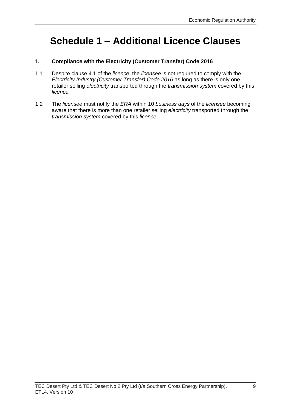# <span id="page-14-0"></span>**Schedule 1 – Additional Licence Clauses**

## **1. Compliance with the Electricity (Customer Transfer) Code 2016**

- 1.1 Despite clause 4.1 of the *licence*, the *licensee* is not required to comply with the *Electricity Industry (Customer Transfer) Code 2016* as long as there is only one retailer selling *electricity* transported through the *transmission system* covered by this *licence.*
- 1.2 The *licensee* must notify the *ERA* within 10 *business days* of the *licensee* becoming aware that there is more than one retailer selling *electricity* transported through the *transmission system* covered by this *licence.*